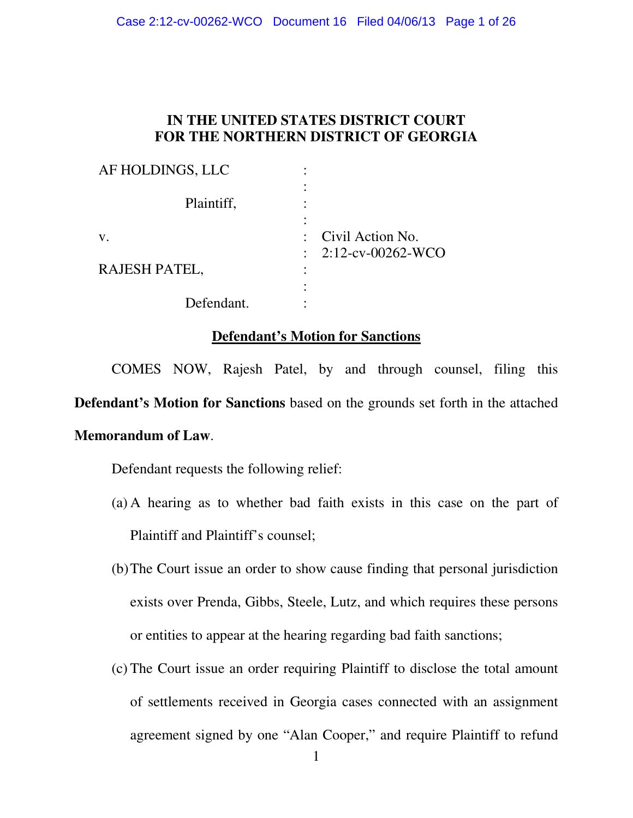## **IN THE UNITED STATES DISTRICT COURT FOR THE NORTHERN DISTRICT OF GEORGIA**

| AF HOLDINGS, LLC     |                                |
|----------------------|--------------------------------|
| Plaintiff,           |                                |
| ${\bf V}$ .          | : Civil Action No.             |
| <b>RAJESH PATEL,</b> | $\therefore$ 2:12-cv-00262-WCO |
| Defendant.           |                                |

### **Defendant's Motion for Sanctions**

COMES NOW, Rajesh Patel, by and through counsel, filing this **Defendant's Motion for Sanctions** based on the grounds set forth in the attached **Memorandum of Law**.

Defendant requests the following relief:

- (a) A hearing as to whether bad faith exists in this case on the part of Plaintiff and Plaintiff's counsel;
- (b)The Court issue an order to show cause finding that personal jurisdiction exists over Prenda, Gibbs, Steele, Lutz, and which requires these persons or entities to appear at the hearing regarding bad faith sanctions;
- (c) The Court issue an order requiring Plaintiff to disclose the total amount of settlements received in Georgia cases connected with an assignment agreement signed by one "Alan Cooper," and require Plaintiff to refund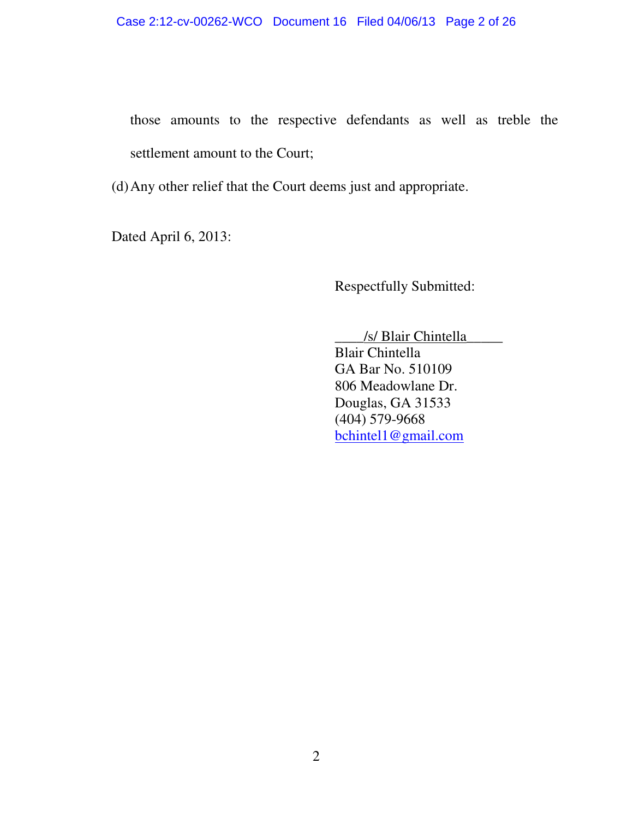those amounts to the respective defendants as well as treble the settlement amount to the Court;

(d)Any other relief that the Court deems just and appropriate.

Dated April 6, 2013:

Respectfully Submitted:

\_\_\_\_/s/ Blair Chintella\_\_\_\_\_

 Blair Chintella GA Bar No. 510109 806 Meadowlane Dr. Douglas, GA 31533 (404) 579-9668 bchintel1@gmail.com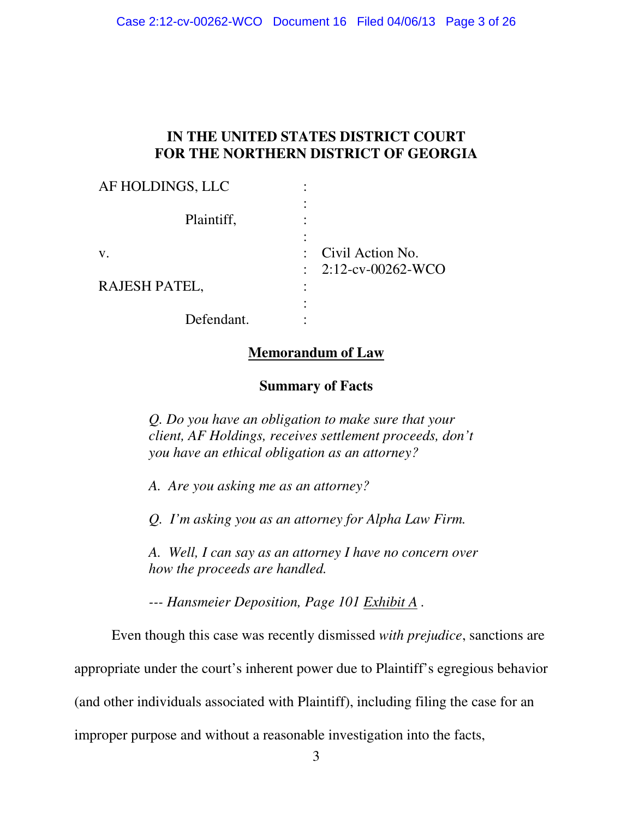## **IN THE UNITED STATES DISTRICT COURT FOR THE NORTHERN DISTRICT OF GEORGIA**

| AF HOLDINGS, LLC     |                                                                  |
|----------------------|------------------------------------------------------------------|
| Plaintiff,           |                                                                  |
| V.                   | : Civil Action No.                                               |
| <b>RAJESH PATEL,</b> | $2:12$ -cv-00262-WCO<br>$\langle \sigma_{\rm{eff}} \rangle$<br>٠ |
| Defendant.           |                                                                  |

## **Memorandum of Law**

### **Summary of Facts**

*Q. Do you have an obligation to make sure that your client, AF Holdings, receives settlement proceeds, don't you have an ethical obligation as an attorney?* 

*A. Are you asking me as an attorney?* 

*Q. I'm asking you as an attorney for Alpha Law Firm.* 

*A. Well, I can say as an attorney I have no concern over how the proceeds are handled.* 

*--- Hansmeier Deposition, Page 101 Exhibit A .* 

Even though this case was recently dismissed *with prejudice*, sanctions are

appropriate under the court's inherent power due to Plaintiff's egregious behavior

(and other individuals associated with Plaintiff), including filing the case for an

improper purpose and without a reasonable investigation into the facts,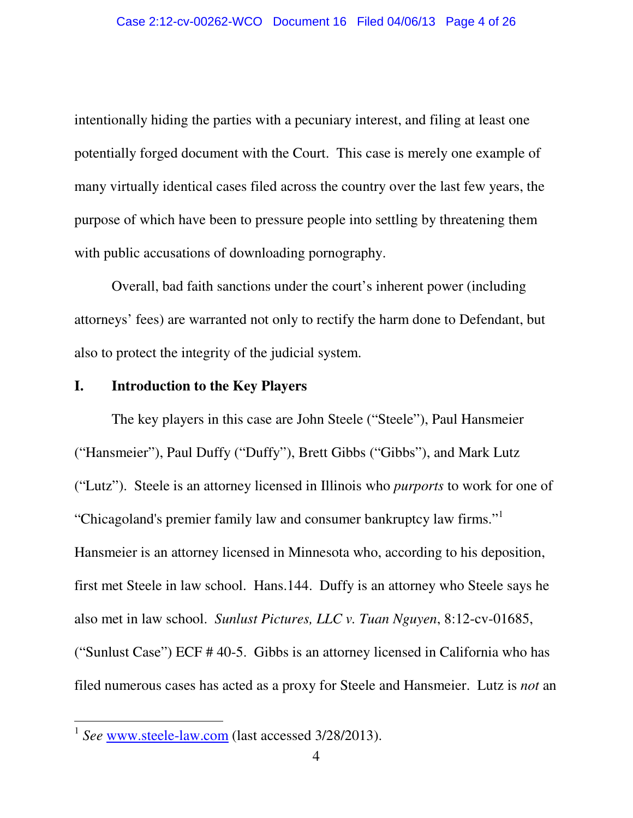intentionally hiding the parties with a pecuniary interest, and filing at least one potentially forged document with the Court. This case is merely one example of many virtually identical cases filed across the country over the last few years, the purpose of which have been to pressure people into settling by threatening them with public accusations of downloading pornography.

Overall, bad faith sanctions under the court's inherent power (including attorneys' fees) are warranted not only to rectify the harm done to Defendant, but also to protect the integrity of the judicial system.

#### **I. Introduction to the Key Players**

The key players in this case are John Steele ("Steele"), Paul Hansmeier ("Hansmeier"), Paul Duffy ("Duffy"), Brett Gibbs ("Gibbs"), and Mark Lutz ("Lutz"). Steele is an attorney licensed in Illinois who *purports* to work for one of "Chicagoland's premier family law and consumer bankruptcy law firms."<sup>1</sup> Hansmeier is an attorney licensed in Minnesota who, according to his deposition, first met Steele in law school. Hans.144. Duffy is an attorney who Steele says he also met in law school. *Sunlust Pictures, LLC v. Tuan Nguyen*, 8:12-cv-01685, ("Sunlust Case") ECF # 40-5. Gibbs is an attorney licensed in California who has filed numerous cases has acted as a proxy for Steele and Hansmeier. Lutz is *not* an

<sup>&</sup>lt;sup>1</sup> See www.steele-law.com (last accessed 3/28/2013).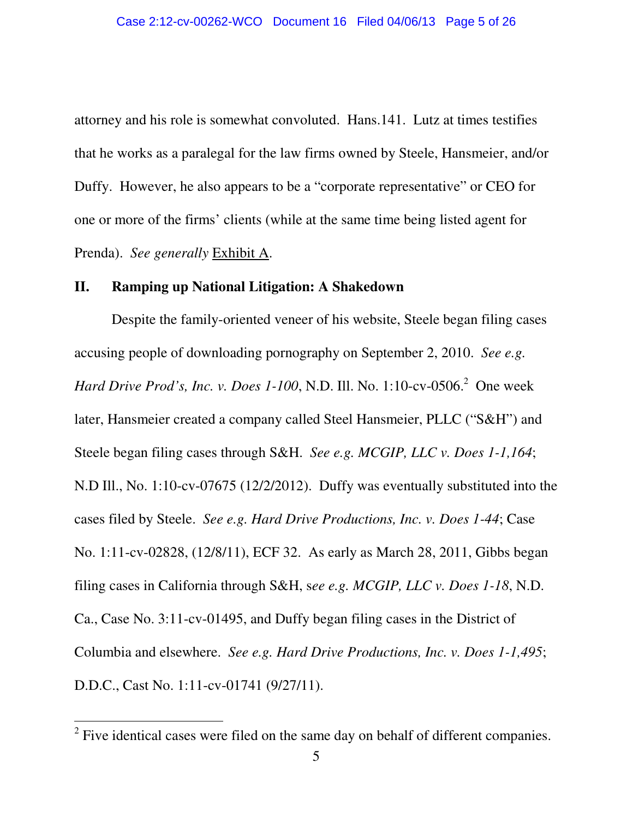attorney and his role is somewhat convoluted. Hans.141. Lutz at times testifies that he works as a paralegal for the law firms owned by Steele, Hansmeier, and/or Duffy. However, he also appears to be a "corporate representative" or CEO for one or more of the firms' clients (while at the same time being listed agent for Prenda). *See generally* Exhibit A.

#### **II. Ramping up National Litigation: A Shakedown**

Despite the family-oriented veneer of his website, Steele began filing cases accusing people of downloading pornography on September 2, 2010. *See e.g. Hard Drive Prod's, Inc. v. Does 1-100, N.D. Ill. No.* 1:10-cv-0506.<sup>2</sup> One week later, Hansmeier created a company called Steel Hansmeier, PLLC ("S&H") and Steele began filing cases through S&H. *See e.g. MCGIP, LLC v. Does 1-1,164*; N.D Ill., No. 1:10-cv-07675 (12/2/2012). Duffy was eventually substituted into the cases filed by Steele. *See e.g. Hard Drive Productions, Inc. v. Does 1-44*; Case No. 1:11-cv-02828, (12/8/11), ECF 32. As early as March 28, 2011, Gibbs began filing cases in California through S&H, s*ee e.g. MCGIP, LLC v. Does 1-18*, N.D. Ca., Case No. 3:11-cv-01495, and Duffy began filing cases in the District of Columbia and elsewhere. *See e.g. Hard Drive Productions, Inc. v. Does 1-1,495*; D.D.C., Cast No. 1:11-cv-01741 (9/27/11).

 $2^2$  Five identical cases were filed on the same day on behalf of different companies.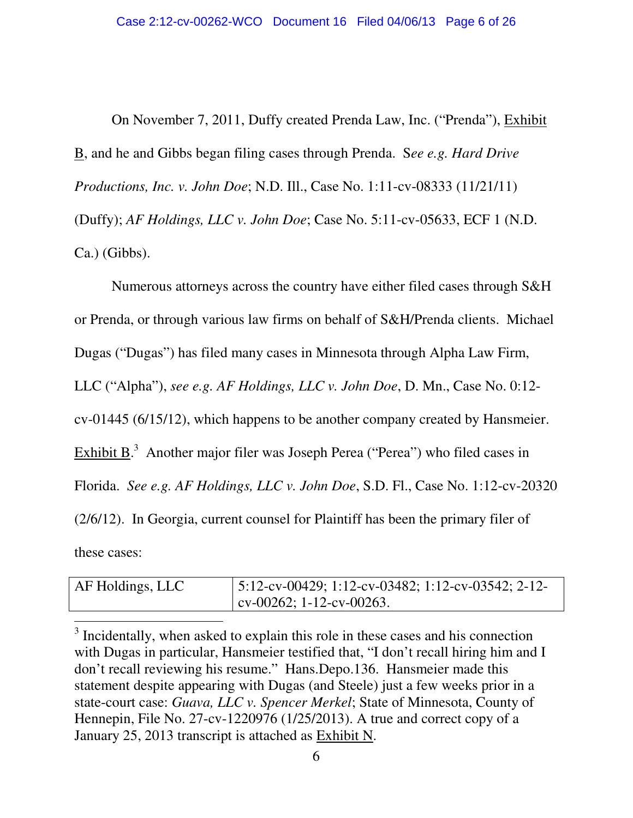On November 7, 2011, Duffy created Prenda Law, Inc. ("Prenda"), Exhibit B, and he and Gibbs began filing cases through Prenda. S*ee e.g. Hard Drive Productions, Inc. v. John Doe*; N.D. Ill., Case No. 1:11-cv-08333 (11/21/11) (Duffy); *AF Holdings, LLC v. John Doe*; Case No. 5:11-cv-05633, ECF 1 (N.D. Ca.) (Gibbs).

Numerous attorneys across the country have either filed cases through S&H or Prenda, or through various law firms on behalf of S&H/Prenda clients. Michael Dugas ("Dugas") has filed many cases in Minnesota through Alpha Law Firm, LLC ("Alpha"), *see e.g. AF Holdings, LLC v. John Doe*, D. Mn., Case No. 0:12 cv-01445 (6/15/12), which happens to be another company created by Hansmeier. Exhibit  $B^3$ . Another major filer was Joseph Perea ("Perea") who filed cases in Florida. *See e.g. AF Holdings, LLC v. John Doe*, S.D. Fl., Case No. 1:12-cv-20320 (2/6/12). In Georgia, current counsel for Plaintiff has been the primary filer of these cases:

| AF Holdings, LLC | $\mid$ 5:12-cv-00429; 1:12-cv-03482; 1:12-cv-03542; 2-12- |
|------------------|-----------------------------------------------------------|
|                  | $\vert$ cv-00262; 1-12-cv-00263.                          |

<sup>&</sup>lt;sup>3</sup> Incidentally, when asked to explain this role in these cases and his connection with Dugas in particular, Hansmeier testified that, "I don't recall hiring him and I don't recall reviewing his resume." Hans.Depo.136. Hansmeier made this statement despite appearing with Dugas (and Steele) just a few weeks prior in a state-court case: *Guava, LLC v. Spencer Merkel*; State of Minnesota, County of Hennepin, File No. 27-cv-1220976 (1/25/2013). A true and correct copy of a January 25, 2013 transcript is attached as Exhibit N.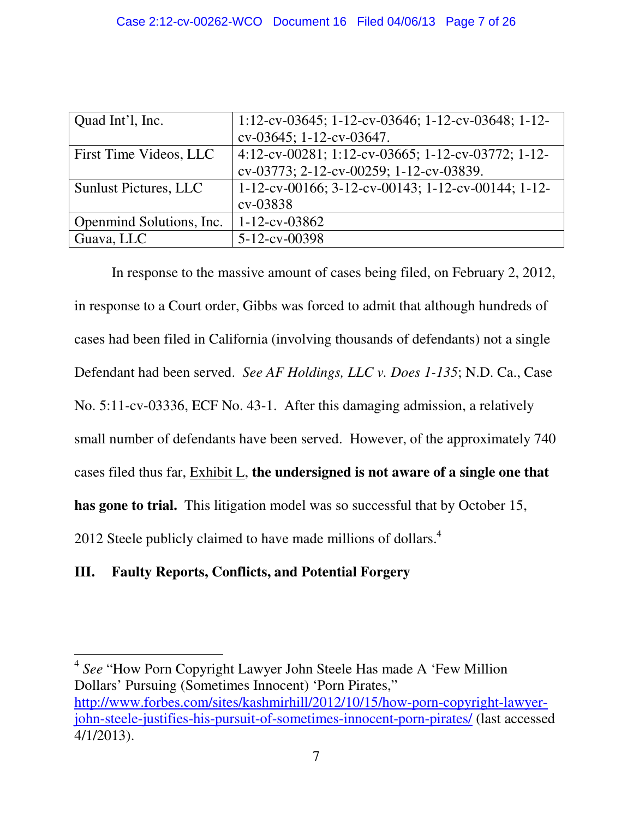| Quad Int'l, Inc.             | 1:12-cv-03645; 1-12-cv-03646; 1-12-cv-03648; 1-12- |
|------------------------------|----------------------------------------------------|
|                              | cv-03645; 1-12-cv-03647.                           |
| First Time Videos, LLC       | 4:12-cv-00281; 1:12-cv-03665; 1-12-cv-03772; 1-12- |
|                              | cv-03773; 2-12-cv-00259; 1-12-cv-03839.            |
| <b>Sunlust Pictures, LLC</b> | 1-12-cv-00166; 3-12-cv-00143; 1-12-cv-00144; 1-12- |
|                              | cv-03838                                           |
| Openmind Solutions, Inc.     | $1 - 12 - cv - 03862$                              |
| Guava, LLC                   | 5-12-cv-00398                                      |
|                              |                                                    |

In response to the massive amount of cases being filed, on February 2, 2012, in response to a Court order, Gibbs was forced to admit that although hundreds of cases had been filed in California (involving thousands of defendants) not a single Defendant had been served. *See AF Holdings, LLC v. Does 1-135*; N.D. Ca., Case No. 5:11-cv-03336, ECF No. 43-1. After this damaging admission, a relatively small number of defendants have been served. However, of the approximately 740 cases filed thus far, Exhibit L, **the undersigned is not aware of a single one that has gone to trial.** This litigation model was so successful that by October 15, 2012 Steele publicly claimed to have made millions of dollars.<sup>4</sup>

# **III. Faulty Reports, Conflicts, and Potential Forgery**

<sup>4</sup> *See* "How Porn Copyright Lawyer John Steele Has made A 'Few Million Dollars' Pursuing (Sometimes Innocent) 'Porn Pirates," http://www.forbes.com/sites/kashmirhill/2012/10/15/how-porn-copyright-lawyerjohn-steele-justifies-his-pursuit-of-sometimes-innocent-porn-pirates/ (last accessed 4/1/2013).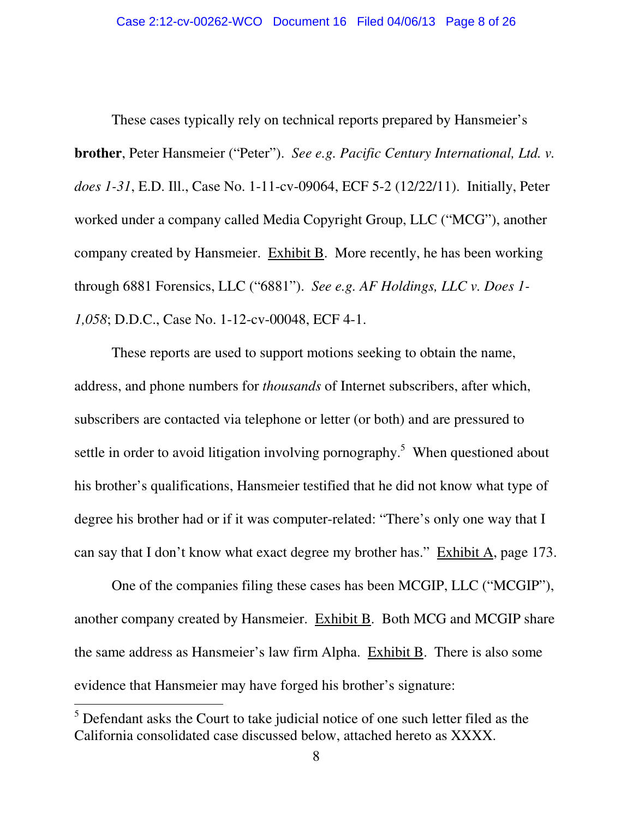These cases typically rely on technical reports prepared by Hansmeier's **brother**, Peter Hansmeier ("Peter"). *See e.g. Pacific Century International, Ltd. v. does 1-31*, E.D. Ill., Case No. 1-11-cv-09064, ECF 5-2 (12/22/11). Initially, Peter worked under a company called Media Copyright Group, LLC ("MCG"), another company created by Hansmeier. Exhibit B. More recently, he has been working through 6881 Forensics, LLC ("6881"). *See e.g. AF Holdings, LLC v. Does 1- 1,058*; D.D.C., Case No. 1-12-cv-00048, ECF 4-1.

These reports are used to support motions seeking to obtain the name, address, and phone numbers for *thousands* of Internet subscribers, after which, subscribers are contacted via telephone or letter (or both) and are pressured to settle in order to avoid litigation involving pornography.<sup>5</sup> When questioned about his brother's qualifications, Hansmeier testified that he did not know what type of degree his brother had or if it was computer-related: "There's only one way that I can say that I don't know what exact degree my brother has." Exhibit A, page 173.

One of the companies filing these cases has been MCGIP, LLC ("MCGIP"), another company created by Hansmeier. Exhibit B. Both MCG and MCGIP share the same address as Hansmeier's law firm Alpha. Exhibit B. There is also some evidence that Hansmeier may have forged his brother's signature:

<sup>&</sup>lt;sup>5</sup> Defendant asks the Court to take judicial notice of one such letter filed as the California consolidated case discussed below, attached hereto as XXXX.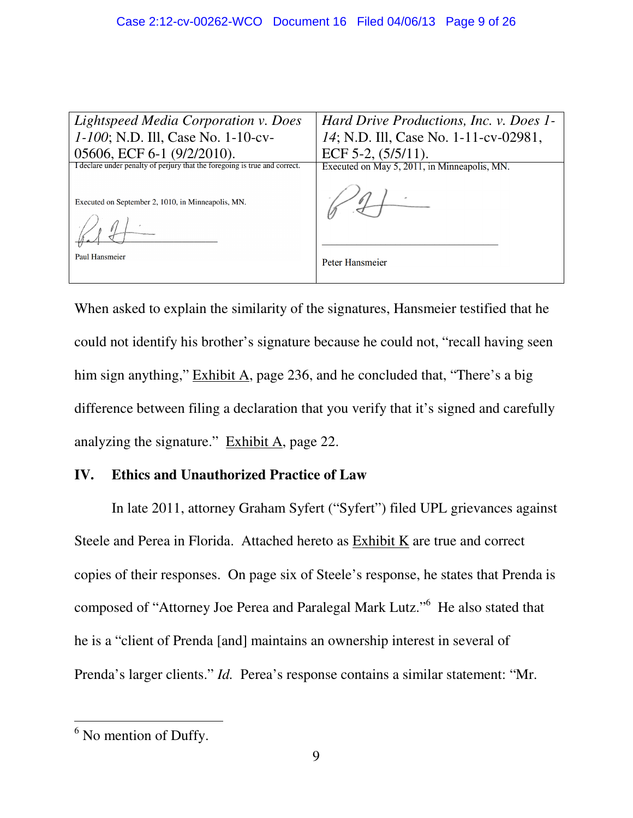| Lightspeed Media Corporation v. Does<br>1-100; N.D. Ill, Case No. 1-10-cv-<br>05606, ECF 6-1 (9/2/2010).                         | Hard Drive Productions, Inc. v. Does 1-<br>14; N.D. Ill, Case No. 1-11-cv-02981,<br>ECF 5-2, $(5/5/11)$ . |
|----------------------------------------------------------------------------------------------------------------------------------|-----------------------------------------------------------------------------------------------------------|
| I declare under penalty of perjury that the foregoing is true and correct.<br>Executed on September 2, 1010, in Minneapolis, MN. | Executed on May 5, 2011, in Minneapolis, MN.                                                              |
| Paul Hansmeier                                                                                                                   | Peter Hansmeier                                                                                           |

When asked to explain the similarity of the signatures, Hansmeier testified that he could not identify his brother's signature because he could not, "recall having seen him sign anything," Exhibit A, page 236, and he concluded that, "There's a big difference between filing a declaration that you verify that it's signed and carefully analyzing the signature." Exhibit A, page 22.

## **IV. Ethics and Unauthorized Practice of Law**

In late 2011, attorney Graham Syfert ("Syfert") filed UPL grievances against Steele and Perea in Florida. Attached hereto as Exhibit K are true and correct copies of their responses. On page six of Steele's response, he states that Prenda is composed of "Attorney Joe Perea and Paralegal Mark Lutz."<sup>6</sup> He also stated that he is a "client of Prenda [and] maintains an ownership interest in several of Prenda's larger clients." *Id.* Perea's response contains a similar statement: "Mr.

 $<sup>6</sup>$  No mention of Duffy.</sup>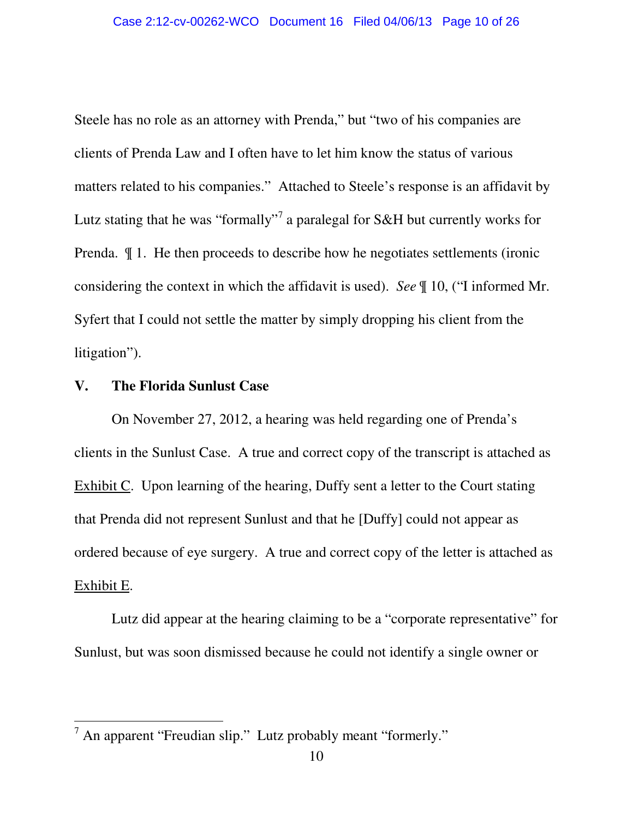Steele has no role as an attorney with Prenda," but "two of his companies are clients of Prenda Law and I often have to let him know the status of various matters related to his companies." Attached to Steele's response is an affidavit by Lutz stating that he was "formally"<sup>7</sup> a paralegal for S&H but currently works for Prenda. ¶ 1. He then proceeds to describe how he negotiates settlements (ironic considering the context in which the affidavit is used). *See* ¶ 10, ("I informed Mr. Syfert that I could not settle the matter by simply dropping his client from the litigation").

#### **V. The Florida Sunlust Case**

 $\overline{a}$ 

On November 27, 2012, a hearing was held regarding one of Prenda's clients in the Sunlust Case. A true and correct copy of the transcript is attached as Exhibit C. Upon learning of the hearing, Duffy sent a letter to the Court stating that Prenda did not represent Sunlust and that he [Duffy] could not appear as ordered because of eye surgery. A true and correct copy of the letter is attached as Exhibit E.

Lutz did appear at the hearing claiming to be a "corporate representative" for Sunlust, but was soon dismissed because he could not identify a single owner or

 $<sup>7</sup>$  An apparent "Freudian slip." Lutz probably meant "formerly."</sup>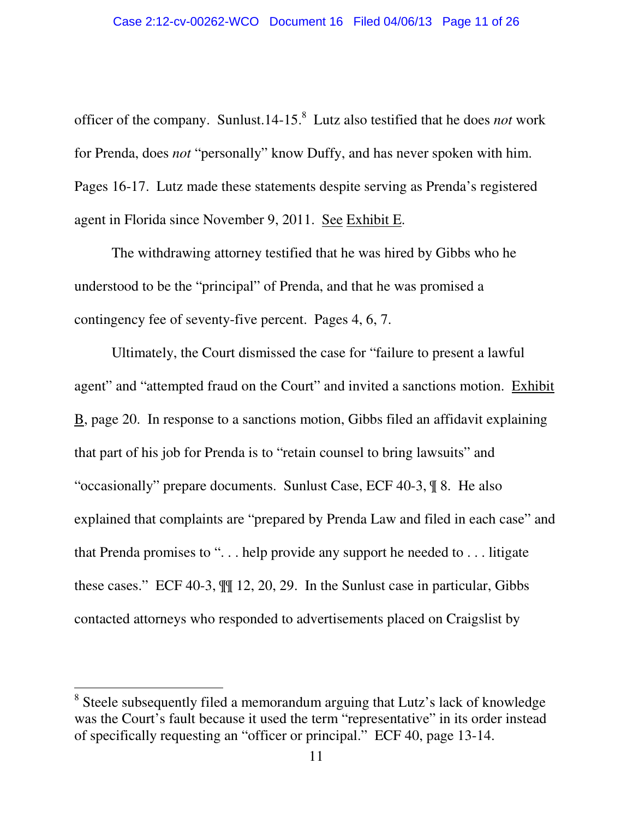officer of the company. Sunlust.14-15.<sup>8</sup> Lutz also testified that he does *not* work for Prenda, does *not* "personally" know Duffy, and has never spoken with him. Pages 16-17. Lutz made these statements despite serving as Prenda's registered agent in Florida since November 9, 2011. See Exhibit E.

The withdrawing attorney testified that he was hired by Gibbs who he understood to be the "principal" of Prenda, and that he was promised a contingency fee of seventy-five percent. Pages 4, 6, 7.

Ultimately, the Court dismissed the case for "failure to present a lawful agent" and "attempted fraud on the Court" and invited a sanctions motion. Exhibit B, page 20. In response to a sanctions motion, Gibbs filed an affidavit explaining that part of his job for Prenda is to "retain counsel to bring lawsuits" and "occasionally" prepare documents. Sunlust Case, ECF 40-3, ¶ 8. He also explained that complaints are "prepared by Prenda Law and filed in each case" and that Prenda promises to ". . . help provide any support he needed to . . . litigate these cases." ECF 40-3, ¶¶ 12, 20, 29. In the Sunlust case in particular, Gibbs contacted attorneys who responded to advertisements placed on Craigslist by

<sup>&</sup>lt;sup>8</sup> Steele subsequently filed a memorandum arguing that Lutz's lack of knowledge was the Court's fault because it used the term "representative" in its order instead of specifically requesting an "officer or principal." ECF 40, page 13-14.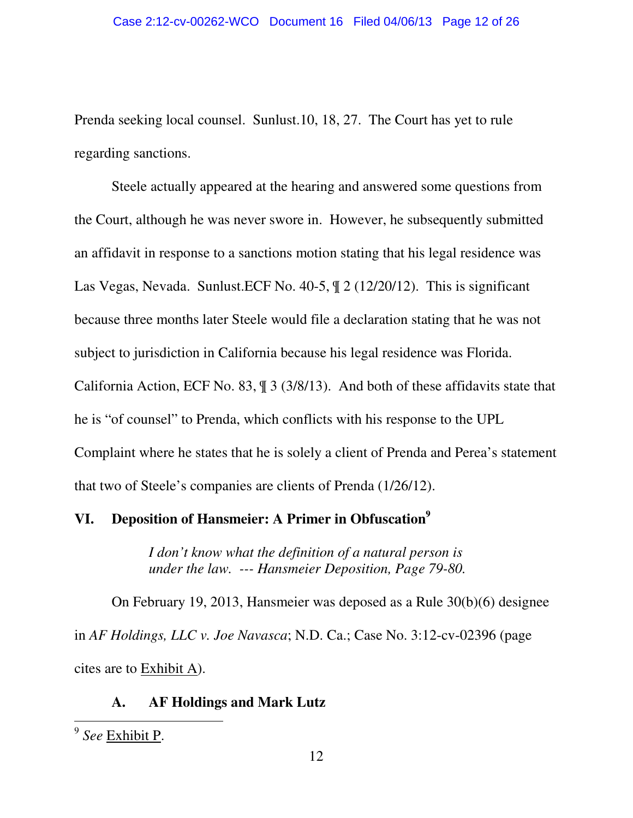Prenda seeking local counsel. Sunlust.10, 18, 27. The Court has yet to rule regarding sanctions.

Steele actually appeared at the hearing and answered some questions from the Court, although he was never swore in. However, he subsequently submitted an affidavit in response to a sanctions motion stating that his legal residence was Las Vegas, Nevada. Sunlust.ECF No. 40-5, ¶ 2 (12/20/12). This is significant because three months later Steele would file a declaration stating that he was not subject to jurisdiction in California because his legal residence was Florida. California Action, ECF No. 83, ¶ 3 (3/8/13). And both of these affidavits state that he is "of counsel" to Prenda, which conflicts with his response to the UPL Complaint where he states that he is solely a client of Prenda and Perea's statement that two of Steele's companies are clients of Prenda (1/26/12).

# **VI. Deposition of Hansmeier: A Primer in Obfuscation 9**

*I don't know what the definition of a natural person is under the law. --- Hansmeier Deposition, Page 79-80.* 

On February 19, 2013, Hansmeier was deposed as a Rule 30(b)(6) designee in *AF Holdings, LLC v. Joe Navasca*; N.D. Ca.; Case No. 3:12-cv-02396 (page cites are to Exhibit A).

## **A. AF Holdings and Mark Lutz**

<sup>9</sup> *See* Exhibit P.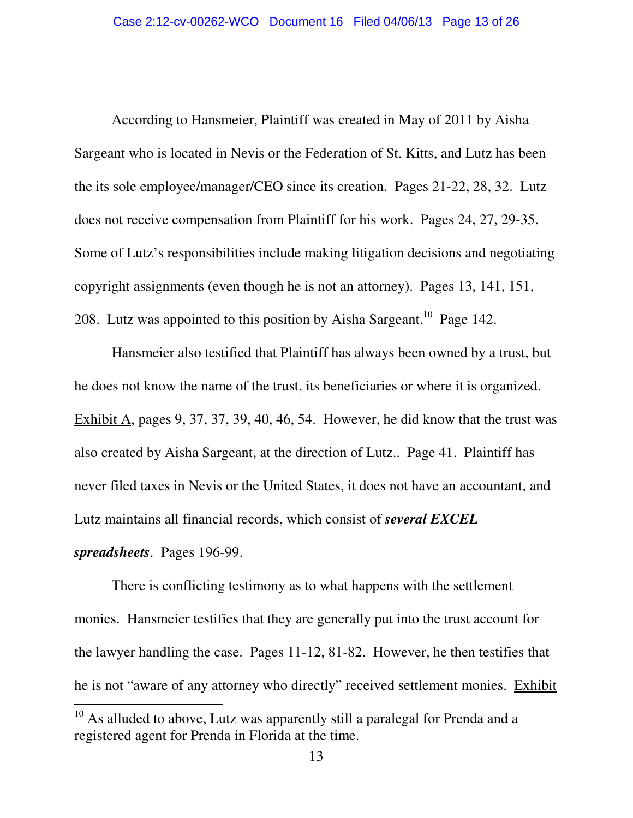According to Hansmeier, Plaintiff was created in May of 2011 by Aisha Sargeant who is located in Nevis or the Federation of St. Kitts, and Lutz has been the its sole employee/manager/CEO since its creation. Pages 21-22, 28, 32. Lutz does not receive compensation from Plaintiff for his work. Pages 24, 27, 29-35. Some of Lutz's responsibilities include making litigation decisions and negotiating copyright assignments (even though he is not an attorney). Pages 13, 141, 151, 208. Lutz was appointed to this position by Aisha Sargeant.<sup>10</sup> Page 142.

Hansmeier also testified that Plaintiff has always been owned by a trust, but he does not know the name of the trust, its beneficiaries or where it is organized. Exhibit A, pages 9, 37, 37, 39, 40, 46, 54. However, he did know that the trust was also created by Aisha Sargeant, at the direction of Lutz.. Page 41. Plaintiff has never filed taxes in Nevis or the United States, it does not have an accountant, and Lutz maintains all financial records, which consist of *several EXCEL spreadsheets*. Pages 196-99.

There is conflicting testimony as to what happens with the settlement monies. Hansmeier testifies that they are generally put into the trust account for the lawyer handling the case. Pages 11-12, 81-82. However, he then testifies that he is not "aware of any attorney who directly" received settlement monies. Exhibit

<sup>&</sup>lt;sup>10</sup> As alluded to above, Lutz was apparently still a paralegal for Prenda and a registered agent for Prenda in Florida at the time.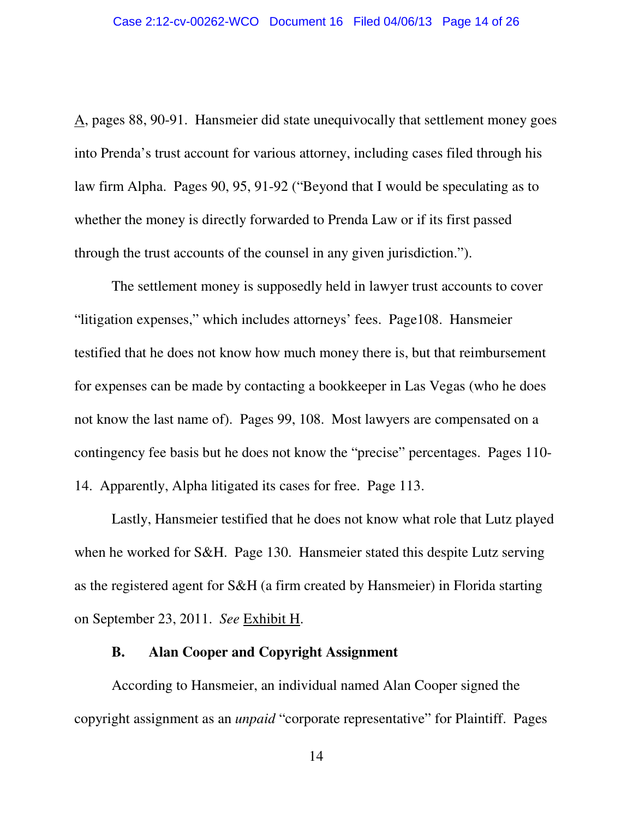A, pages 88, 90-91. Hansmeier did state unequivocally that settlement money goes into Prenda's trust account for various attorney, including cases filed through his law firm Alpha. Pages 90, 95, 91-92 ("Beyond that I would be speculating as to whether the money is directly forwarded to Prenda Law or if its first passed through the trust accounts of the counsel in any given jurisdiction.").

The settlement money is supposedly held in lawyer trust accounts to cover "litigation expenses," which includes attorneys' fees. Page108. Hansmeier testified that he does not know how much money there is, but that reimbursement for expenses can be made by contacting a bookkeeper in Las Vegas (who he does not know the last name of). Pages 99, 108. Most lawyers are compensated on a contingency fee basis but he does not know the "precise" percentages. Pages 110- 14. Apparently, Alpha litigated its cases for free. Page 113.

Lastly, Hansmeier testified that he does not know what role that Lutz played when he worked for S&H. Page 130. Hansmeier stated this despite Lutz serving as the registered agent for S&H (a firm created by Hansmeier) in Florida starting on September 23, 2011. *See* Exhibit H.

#### **B. Alan Cooper and Copyright Assignment**

According to Hansmeier, an individual named Alan Cooper signed the copyright assignment as an *unpaid* "corporate representative" for Plaintiff. Pages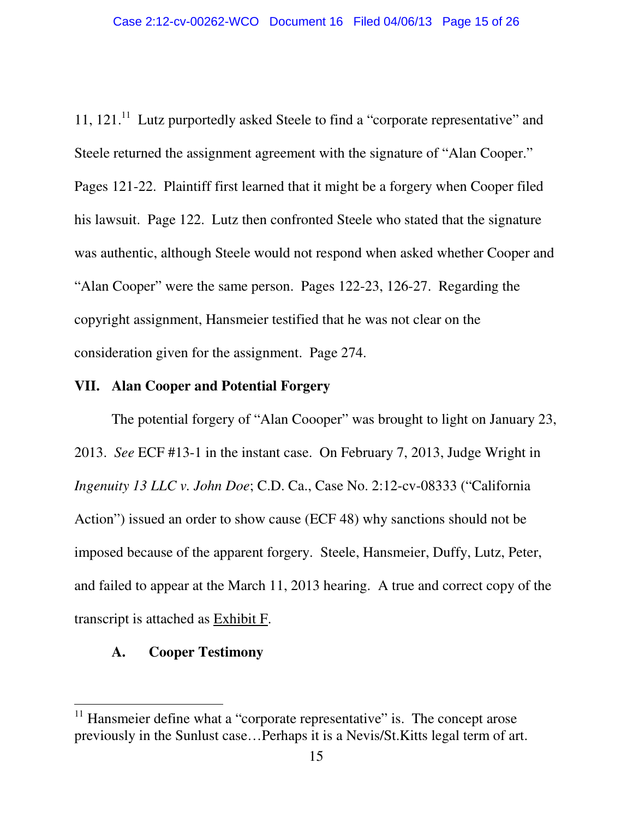11, 121.<sup>11</sup> Lutz purportedly asked Steele to find a "corporate representative" and Steele returned the assignment agreement with the signature of "Alan Cooper." Pages 121-22. Plaintiff first learned that it might be a forgery when Cooper filed his lawsuit. Page 122. Lutz then confronted Steele who stated that the signature was authentic, although Steele would not respond when asked whether Cooper and "Alan Cooper" were the same person. Pages 122-23, 126-27. Regarding the copyright assignment, Hansmeier testified that he was not clear on the consideration given for the assignment. Page 274.

#### **VII. Alan Cooper and Potential Forgery**

The potential forgery of "Alan Coooper" was brought to light on January 23, 2013. *See* ECF #13-1 in the instant case. On February 7, 2013, Judge Wright in *Ingenuity 13 LLC v. John Doe*; C.D. Ca., Case No. 2:12-cv-08333 ("California Action") issued an order to show cause (ECF 48) why sanctions should not be imposed because of the apparent forgery. Steele, Hansmeier, Duffy, Lutz, Peter, and failed to appear at the March 11, 2013 hearing. A true and correct copy of the transcript is attached as Exhibit F.

#### **A. Cooper Testimony**

 $11$  Hansmeier define what a "corporate representative" is. The concept arose previously in the Sunlust case…Perhaps it is a Nevis/St.Kitts legal term of art.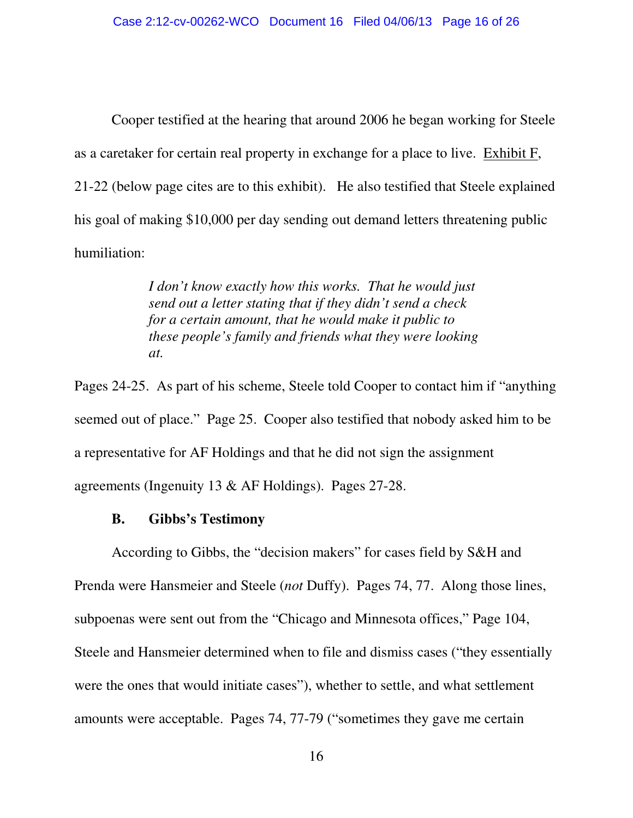Cooper testified at the hearing that around 2006 he began working for Steele as a caretaker for certain real property in exchange for a place to live. Exhibit F, 21-22 (below page cites are to this exhibit). He also testified that Steele explained his goal of making \$10,000 per day sending out demand letters threatening public humiliation:

> *I don't know exactly how this works. That he would just send out a letter stating that if they didn't send a check for a certain amount, that he would make it public to these people's family and friends what they were looking at.*

Pages 24-25. As part of his scheme, Steele told Cooper to contact him if "anything seemed out of place." Page 25. Cooper also testified that nobody asked him to be a representative for AF Holdings and that he did not sign the assignment agreements (Ingenuity 13 & AF Holdings). Pages 27-28.

#### **B. Gibbs's Testimony**

According to Gibbs, the "decision makers" for cases field by S&H and Prenda were Hansmeier and Steele (*not* Duffy). Pages 74, 77. Along those lines, subpoenas were sent out from the "Chicago and Minnesota offices," Page 104, Steele and Hansmeier determined when to file and dismiss cases ("they essentially were the ones that would initiate cases"), whether to settle, and what settlement amounts were acceptable. Pages 74, 77-79 ("sometimes they gave me certain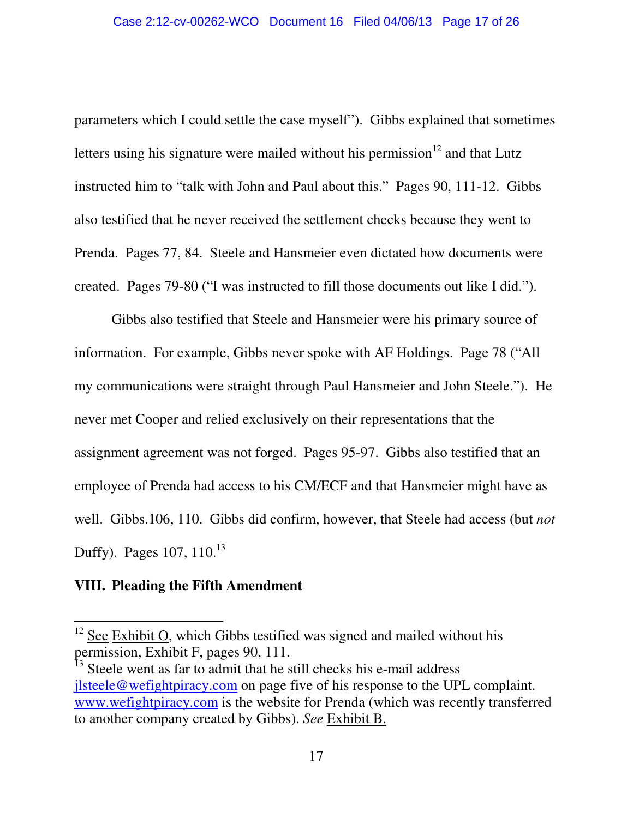parameters which I could settle the case myself"). Gibbs explained that sometimes letters using his signature were mailed without his permission<sup>12</sup> and that Lutz instructed him to "talk with John and Paul about this." Pages 90, 111-12. Gibbs also testified that he never received the settlement checks because they went to Prenda. Pages 77, 84. Steele and Hansmeier even dictated how documents were created. Pages 79-80 ("I was instructed to fill those documents out like I did.").

Gibbs also testified that Steele and Hansmeier were his primary source of information. For example, Gibbs never spoke with AF Holdings. Page 78 ("All my communications were straight through Paul Hansmeier and John Steele."). He never met Cooper and relied exclusively on their representations that the assignment agreement was not forged. Pages 95-97. Gibbs also testified that an employee of Prenda had access to his CM/ECF and that Hansmeier might have as well. Gibbs.106, 110. Gibbs did confirm, however, that Steele had access (but *not* Duffy). Pages 107, 110.<sup>13</sup>

## **VIII. Pleading the Fifth Amendment**

 $12$  See Exhibit O, which Gibbs testified was signed and mailed without his permission, Exhibit F, pages 90, 111.

Steele went as far to admit that he still checks his e-mail address jlsteele@wefightpiracy.com on page five of his response to the UPL complaint. www.wefightpiracy.com is the website for Prenda (which was recently transferred to another company created by Gibbs). *See* Exhibit B.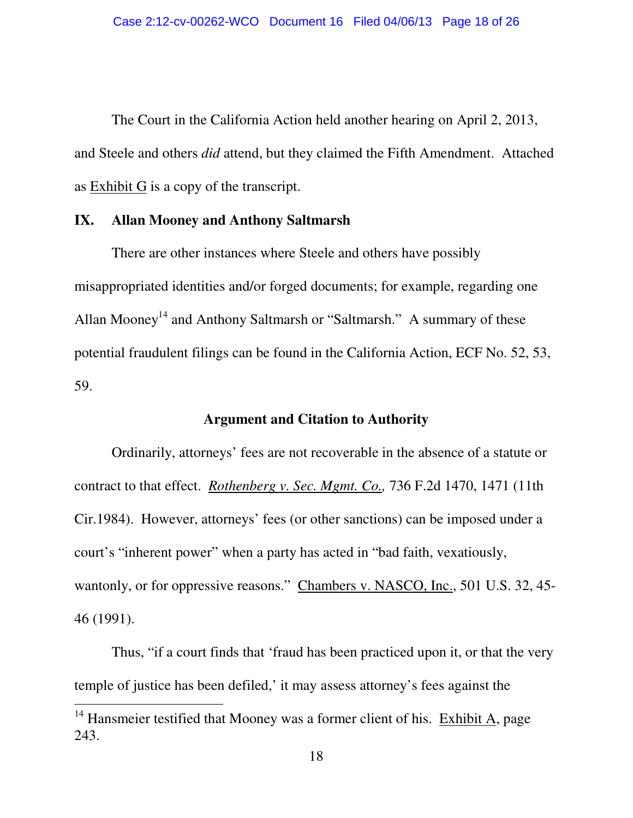The Court in the California Action held another hearing on April 2, 2013, and Steele and others *did* attend, but they claimed the Fifth Amendment. Attached as Exhibit G is a copy of the transcript.

#### **IX. Allan Mooney and Anthony Saltmarsh**

There are other instances where Steele and others have possibly misappropriated identities and/or forged documents; for example, regarding one Allan Mooney<sup>14</sup> and Anthony Saltmarsh or "Saltmarsh." A summary of these potential fraudulent filings can be found in the California Action, ECF No. 52, 53, 59.

### **Argument and Citation to Authority**

Ordinarily, attorneys' fees are not recoverable in the absence of a statute or contract to that effect. *Rothenberg v. Sec. Mgmt. Co.,* 736 F.2d 1470, 1471 (11th Cir.1984). However, attorneys' fees (or other sanctions) can be imposed under a court's "inherent power" when a party has acted in "bad faith, vexatiously, wantonly, or for oppressive reasons." Chambers v. NASCO, Inc., 501 U.S. 32, 45-46 (1991).

Thus, "if a court finds that 'fraud has been practiced upon it, or that the very temple of justice has been defiled,' it may assess attorney's fees against the

<sup>&</sup>lt;sup>14</sup> Hansmeier testified that Mooney was a former client of his. Exhibit A, page 243.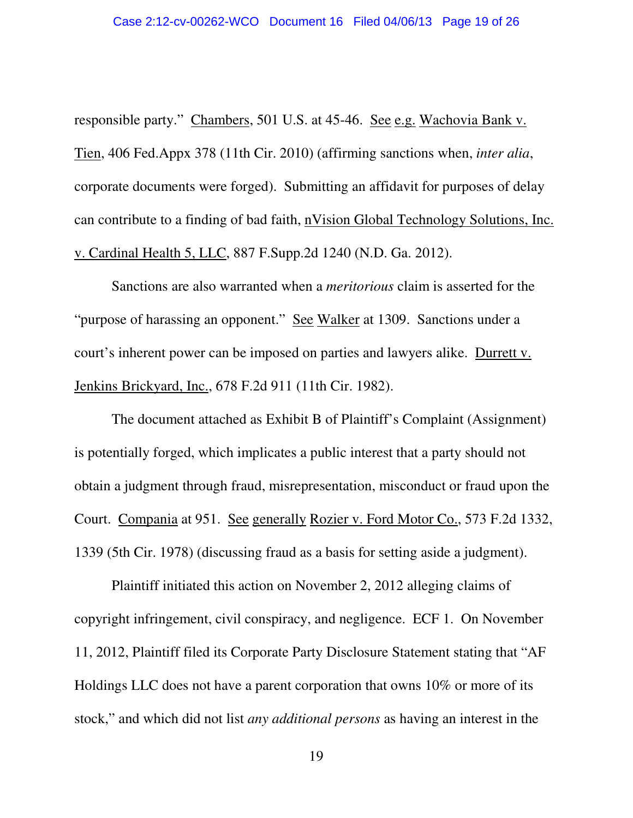responsible party." Chambers, 501 U.S. at 45-46. See e.g. Wachovia Bank v. Tien, 406 Fed.Appx 378 (11th Cir. 2010) (affirming sanctions when, *inter alia*, corporate documents were forged). Submitting an affidavit for purposes of delay can contribute to a finding of bad faith, nVision Global Technology Solutions, Inc. v. Cardinal Health 5, LLC, 887 F.Supp.2d 1240 (N.D. Ga. 2012).

Sanctions are also warranted when a *meritorious* claim is asserted for the "purpose of harassing an opponent." See Walker at 1309. Sanctions under a court's inherent power can be imposed on parties and lawyers alike. Durrett v. Jenkins Brickyard, Inc., 678 F.2d 911 (11th Cir. 1982).

The document attached as Exhibit B of Plaintiff's Complaint (Assignment) is potentially forged, which implicates a public interest that a party should not obtain a judgment through fraud, misrepresentation, misconduct or fraud upon the Court. Compania at 951. See generally Rozier v. Ford Motor Co., 573 F.2d 1332, 1339 (5th Cir. 1978) (discussing fraud as a basis for setting aside a judgment).

Plaintiff initiated this action on November 2, 2012 alleging claims of copyright infringement, civil conspiracy, and negligence. ECF 1. On November 11, 2012, Plaintiff filed its Corporate Party Disclosure Statement stating that "AF Holdings LLC does not have a parent corporation that owns 10% or more of its stock," and which did not list *any additional persons* as having an interest in the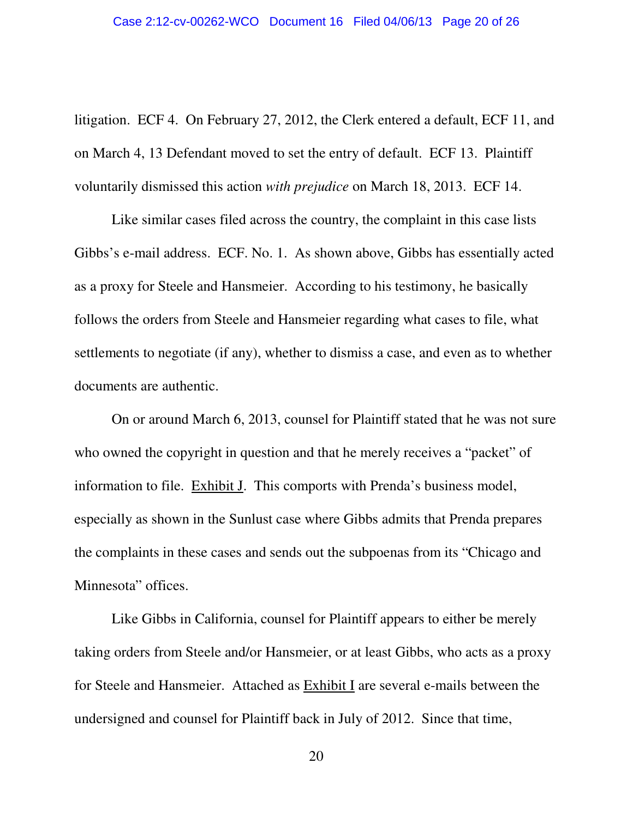litigation. ECF 4. On February 27, 2012, the Clerk entered a default, ECF 11, and on March 4, 13 Defendant moved to set the entry of default. ECF 13. Plaintiff voluntarily dismissed this action *with prejudice* on March 18, 2013. ECF 14.

Like similar cases filed across the country, the complaint in this case lists Gibbs's e-mail address. ECF. No. 1. As shown above, Gibbs has essentially acted as a proxy for Steele and Hansmeier. According to his testimony, he basically follows the orders from Steele and Hansmeier regarding what cases to file, what settlements to negotiate (if any), whether to dismiss a case, and even as to whether documents are authentic.

On or around March 6, 2013, counsel for Plaintiff stated that he was not sure who owned the copyright in question and that he merely receives a "packet" of information to file. Exhibit J. This comports with Prenda's business model, especially as shown in the Sunlust case where Gibbs admits that Prenda prepares the complaints in these cases and sends out the subpoenas from its "Chicago and Minnesota" offices.

Like Gibbs in California, counsel for Plaintiff appears to either be merely taking orders from Steele and/or Hansmeier, or at least Gibbs, who acts as a proxy for Steele and Hansmeier. Attached as Exhibit I are several e-mails between the undersigned and counsel for Plaintiff back in July of 2012. Since that time,

20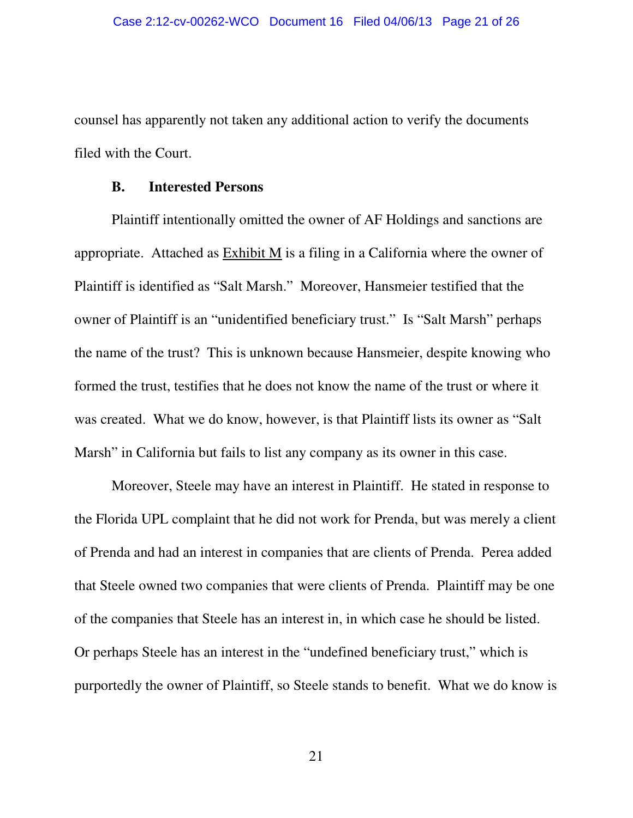counsel has apparently not taken any additional action to verify the documents filed with the Court.

#### **B. Interested Persons**

Plaintiff intentionally omitted the owner of AF Holdings and sanctions are appropriate. Attached as  $Exhibit M$  is a filing in a California where the owner of Plaintiff is identified as "Salt Marsh." Moreover, Hansmeier testified that the owner of Plaintiff is an "unidentified beneficiary trust." Is "Salt Marsh" perhaps the name of the trust? This is unknown because Hansmeier, despite knowing who formed the trust, testifies that he does not know the name of the trust or where it was created. What we do know, however, is that Plaintiff lists its owner as "Salt Marsh" in California but fails to list any company as its owner in this case.

Moreover, Steele may have an interest in Plaintiff. He stated in response to the Florida UPL complaint that he did not work for Prenda, but was merely a client of Prenda and had an interest in companies that are clients of Prenda. Perea added that Steele owned two companies that were clients of Prenda. Plaintiff may be one of the companies that Steele has an interest in, in which case he should be listed. Or perhaps Steele has an interest in the "undefined beneficiary trust," which is purportedly the owner of Plaintiff, so Steele stands to benefit. What we do know is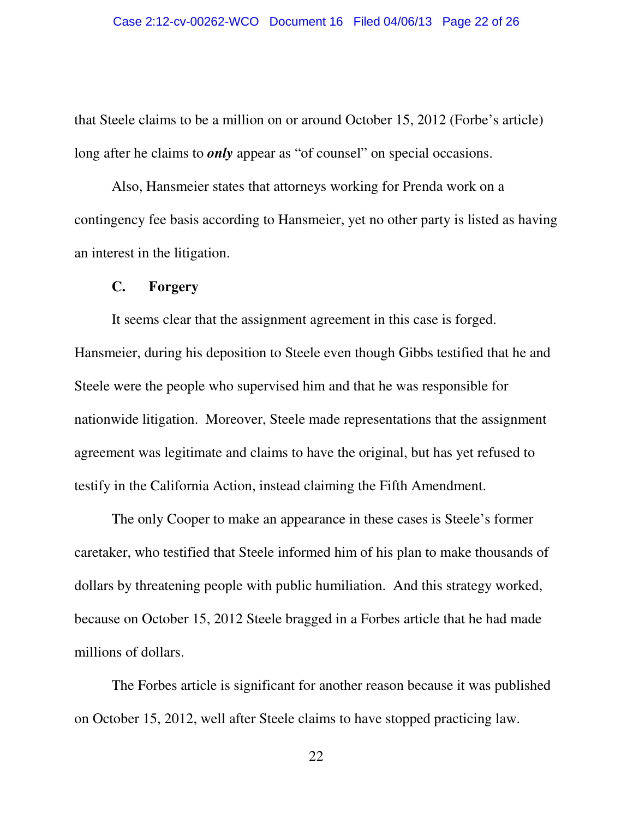that Steele claims to be a million on or around October 15, 2012 (Forbe's article) long after he claims to *only* appear as "of counsel" on special occasions.

Also, Hansmeier states that attorneys working for Prenda work on a contingency fee basis according to Hansmeier, yet no other party is listed as having an interest in the litigation.

#### **C. Forgery**

It seems clear that the assignment agreement in this case is forged. Hansmeier, during his deposition to Steele even though Gibbs testified that he and Steele were the people who supervised him and that he was responsible for nationwide litigation. Moreover, Steele made representations that the assignment agreement was legitimate and claims to have the original, but has yet refused to testify in the California Action, instead claiming the Fifth Amendment.

The only Cooper to make an appearance in these cases is Steele's former caretaker, who testified that Steele informed him of his plan to make thousands of dollars by threatening people with public humiliation. And this strategy worked, because on October 15, 2012 Steele bragged in a Forbes article that he had made millions of dollars.

The Forbes article is significant for another reason because it was published on October 15, 2012, well after Steele claims to have stopped practicing law.

22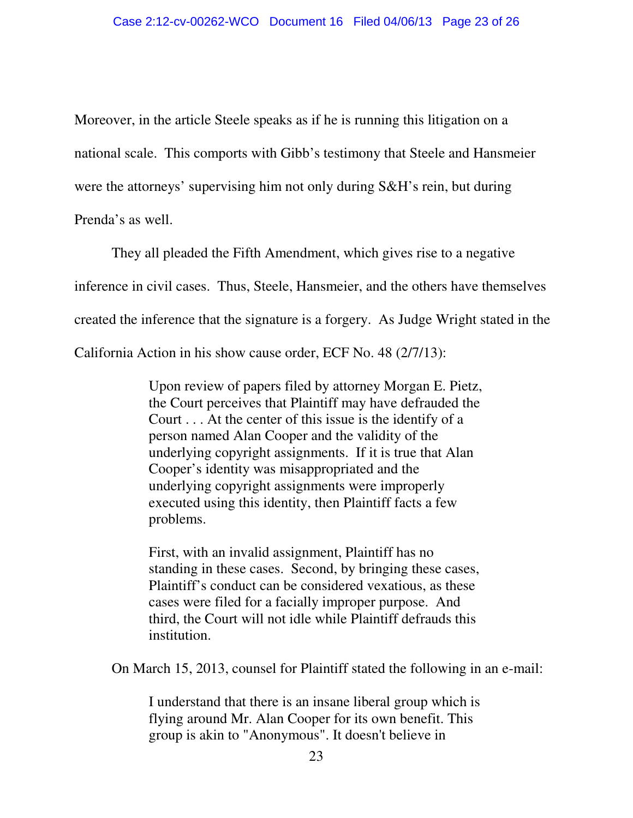Moreover, in the article Steele speaks as if he is running this litigation on a national scale. This comports with Gibb's testimony that Steele and Hansmeier were the attorneys' supervising him not only during S&H's rein, but during Prenda's as well.

They all pleaded the Fifth Amendment, which gives rise to a negative inference in civil cases. Thus, Steele, Hansmeier, and the others have themselves created the inference that the signature is a forgery. As Judge Wright stated in the California Action in his show cause order, ECF No. 48 (2/7/13):

> Upon review of papers filed by attorney Morgan E. Pietz, the Court perceives that Plaintiff may have defrauded the Court . . . At the center of this issue is the identify of a person named Alan Cooper and the validity of the underlying copyright assignments. If it is true that Alan Cooper's identity was misappropriated and the underlying copyright assignments were improperly executed using this identity, then Plaintiff facts a few problems.

> First, with an invalid assignment, Plaintiff has no standing in these cases. Second, by bringing these cases, Plaintiff's conduct can be considered vexatious, as these cases were filed for a facially improper purpose. And third, the Court will not idle while Plaintiff defrauds this institution.

On March 15, 2013, counsel for Plaintiff stated the following in an e-mail:

I understand that there is an insane liberal group which is flying around Mr. Alan Cooper for its own benefit. This group is akin to "Anonymous". It doesn't believe in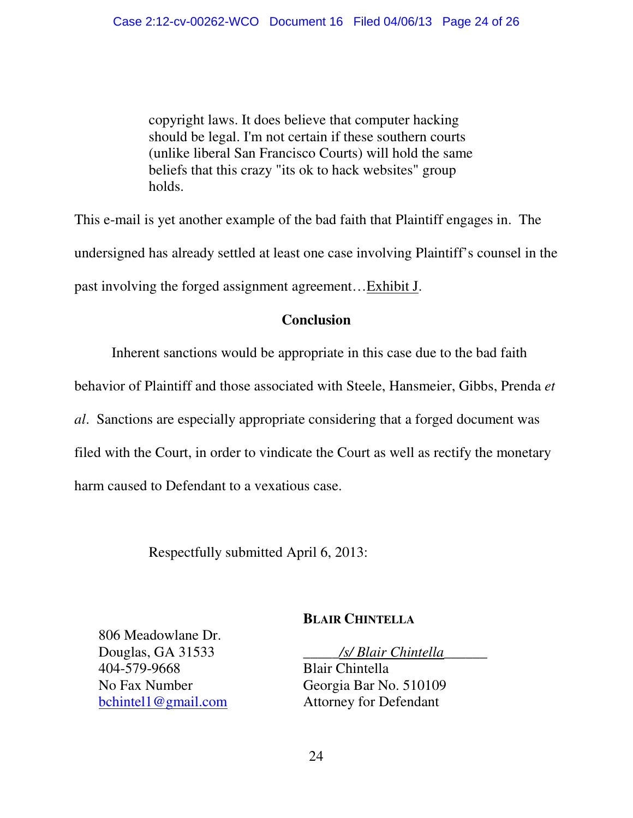copyright laws. It does believe that computer hacking should be legal. I'm not certain if these southern courts (unlike liberal San Francisco Courts) will hold the same beliefs that this crazy "its ok to hack websites" group holds.

This e-mail is yet another example of the bad faith that Plaintiff engages in. The undersigned has already settled at least one case involving Plaintiff's counsel in the past involving the forged assignment agreement…Exhibit J.

## **Conclusion**

Inherent sanctions would be appropriate in this case due to the bad faith behavior of Plaintiff and those associated with Steele, Hansmeier, Gibbs, Prenda *et al*. Sanctions are especially appropriate considering that a forged document was filed with the Court, in order to vindicate the Court as well as rectify the monetary harm caused to Defendant to a vexatious case.

Respectfully submitted April 6, 2013:

## **BLAIR CHINTELLA**

806 Meadowlane Dr. Douglas, GA 31533 404-579-9668 No Fax Number bchintel1@gmail.com

\_\_\_\_\_*/s/ Blair Chintella*\_\_\_\_\_\_

Blair Chintella Georgia Bar No. 510109 Attorney for Defendant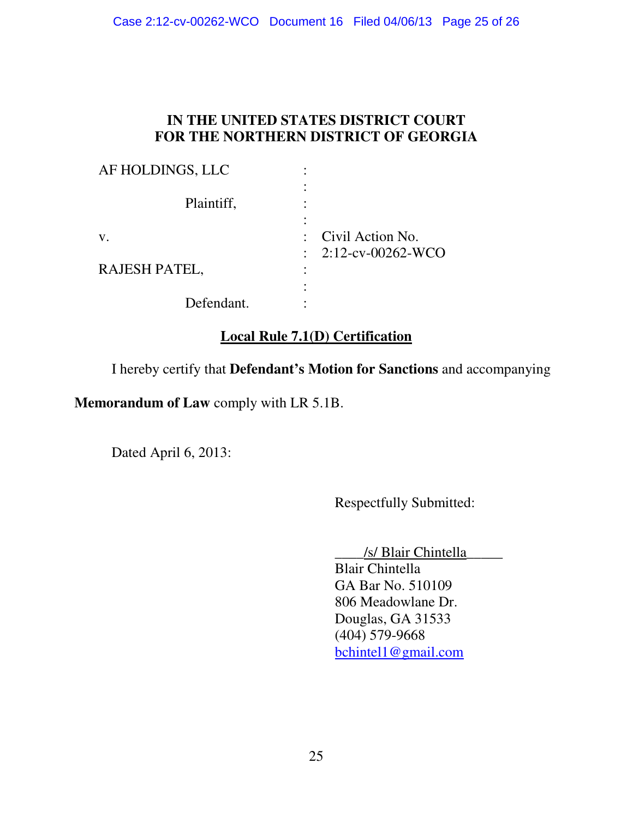# **IN THE UNITED STATES DISTRICT COURT FOR THE NORTHERN DISTRICT OF GEORGIA**

| AF HOLDINGS, LLC |                                                      |
|------------------|------------------------------------------------------|
| Plaintiff,       |                                                      |
| V.               | : Civil Action No.<br>$\therefore$ 2:12-cv-00262-WCO |
| RAJESH PATEL,    |                                                      |
| Defendant.       |                                                      |

# **Local Rule 7.1(D) Certification**

I hereby certify that **Defendant's Motion for Sanctions** and accompanying

**Memorandum of Law** comply with LR 5.1B.

Dated April 6, 2013:

Respectfully Submitted:

\_\_\_\_/s/ Blair Chintella\_\_\_\_\_

 Blair Chintella GA Bar No. 510109 806 Meadowlane Dr. Douglas, GA 31533 (404) 579-9668 bchintel1@gmail.com